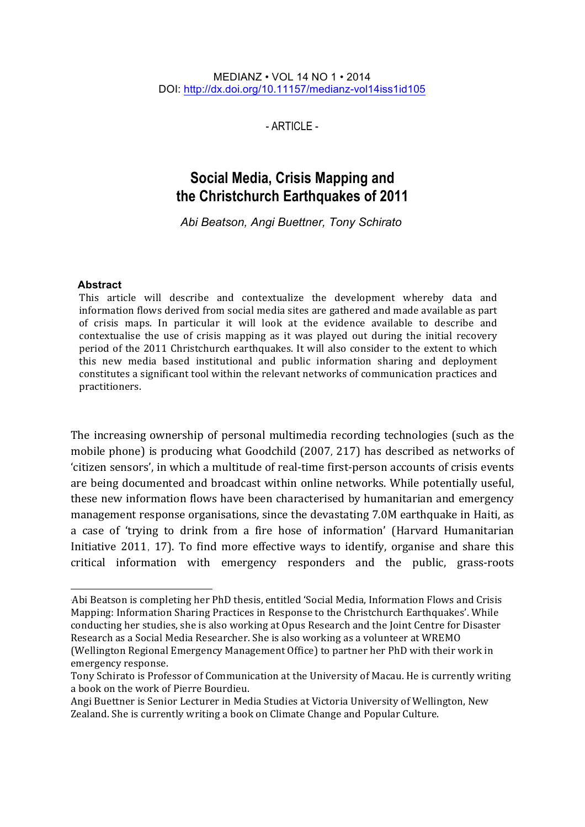MEDIANZ • VOL 14 NO 1 • 2014 DOI: http://dx.doi.org/10.11157/medianz-vol14iss1id105

- ARTICLE -

# **Social Media, Crisis Mapping and the Christchurch Earthquakes of 2011**

*Abi Beatson, Angi Buettner, Tony Schirato*<sup>∗</sup>

#### **Abstract**

This article will describe and contextualize the development whereby data and information flows derived from social media sites are gathered and made available as part of crisis maps. In particular it will look at the evidence available to describe and contextualise the use of crisis mapping as it was played out during the initial recovery period of the 2011 Christchurch earthquakes. It will also consider to the extent to which this new media based institutional and public information sharing and deployment constitutes a significant tool within the relevant networks of communication practices and practitioners.

The increasing ownership of personal multimedia recording technologies (such as the mobile phone) is producing what Goodchild (2007, 217) has described as networks of 'citizen sensors', in which a multitude of real-time first-person accounts of crisis events are being documented and broadcast within online networks. While potentially useful, these new information flows have been characterised by humanitarian and emergency management response organisations, since the devastating 7.0M earthquake in Haiti, as a case of 'trying to drink from a fire hose of information' (Harvard Humanitarian Initiative  $2011$ ,  $17$ ). To find more effective ways to identify, organise and share this critical information with emergency responders and the public, grass-roots

 $\overline{a}$ ∗ Abi Beatson is completing her PhD thesis, entitled 'Social Media, Information Flows and Crisis Mapping: Information Sharing Practices in Response to the Christchurch Earthquakes'. While conducting her studies, she is also working at Opus Research and the Joint Centre for Disaster Research as a Social Media Researcher. She is also working as a volunteer at WREMO (Wellington Regional Emergency Management Office) to partner her PhD with their work in 

emergency response. Tony Schirato is Professor of Communication at the University of Macau. He is currently writing a book on the work of Pierre Bourdieu.

Angi Buettner is Senior Lecturer in Media Studies at Victoria University of Wellington, New Zealand. She is currently writing a book on Climate Change and Popular Culture.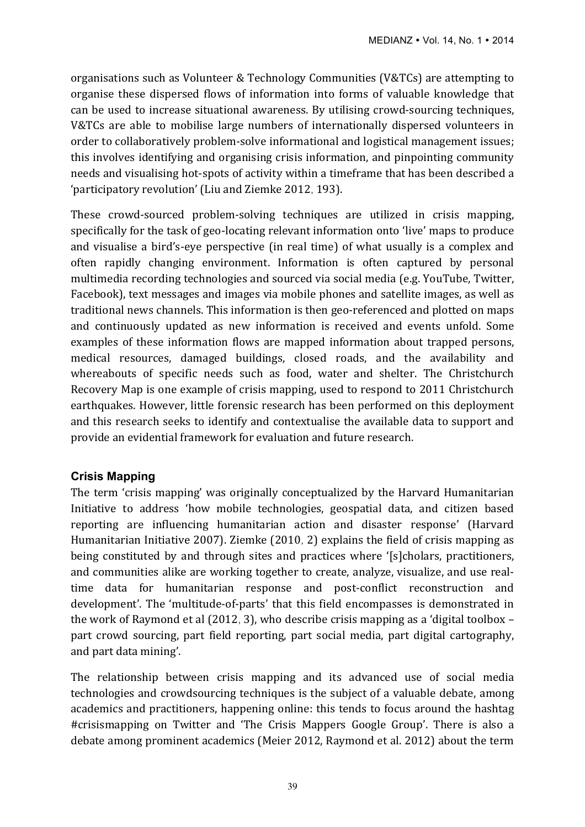organisations such as Volunteer & Technology Communities (V&TCs) are attempting to organise these dispersed flows of information into forms of valuable knowledge that can be used to increase situational awareness. By utilising crowd-sourcing techniques, V&TCs are able to mobilise large numbers of internationally dispersed volunteers in order to collaboratively problem-solve informational and logistical management issues; this involves identifying and organising crisis information, and pinpointing community needs and visualising hot-spots of activity within a timeframe that has been described a 'participatory revolution' (Liu and Ziemke 2012, 193).

These crowd-sourced problem-solving techniques are utilized in crisis mapping, specifically for the task of geo-locating relevant information onto 'live' maps to produce and visualise a bird's-eye perspective (in real time) of what usually is a complex and often rapidly changing environment. Information is often captured by personal multimedia recording technologies and sourced via social media (e.g. YouTube, Twitter, Facebook), text messages and images via mobile phones and satellite images, as well as traditional news channels. This information is then geo-referenced and plotted on maps and continuously updated as new information is received and events unfold. Some examples of these information flows are mapped information about trapped persons, medical resources, damaged buildings, closed roads, and the availability and whereabouts of specific needs such as food, water and shelter. The Christchurch Recovery Map is one example of crisis mapping, used to respond to 2011 Christchurch earthquakes. However, little forensic research has been performed on this deployment and this research seeks to identify and contextualise the available data to support and provide an evidential framework for evaluation and future research.

### **Crisis Mapping**

The term 'crisis mapping' was originally conceptualized by the Harvard Humanitarian Initiative to address 'how mobile technologies, geospatial data, and citizen based reporting are influencing humanitarian action and disaster response' (Harvard Humanitarian Initiative 2007). Ziemke  $(2010, 2)$  explains the field of crisis mapping as being constituted by and through sites and practices where '[s]cholars, practitioners, and communities alike are working together to create, analyze, visualize, and use realtime data for humanitarian response and post-conflict reconstruction and development'. The 'multitude-of-parts' that this field encompasses is demonstrated in the work of Raymond et al  $(2012, 3)$ , who describe crisis mapping as a 'digital toolbox – part crowd sourcing, part field reporting, part social media, part digital cartography, and part data mining'.

The relationship between crisis mapping and its advanced use of social media technologies and crowdsourcing techniques is the subject of a valuable debate, among academics and practitioners, happening online: this tends to focus around the hashtag #crisismapping on Twitter and 'The Crisis Mappers Google Group'. There is also a debate among prominent academics (Meier 2012, Raymond et al. 2012) about the term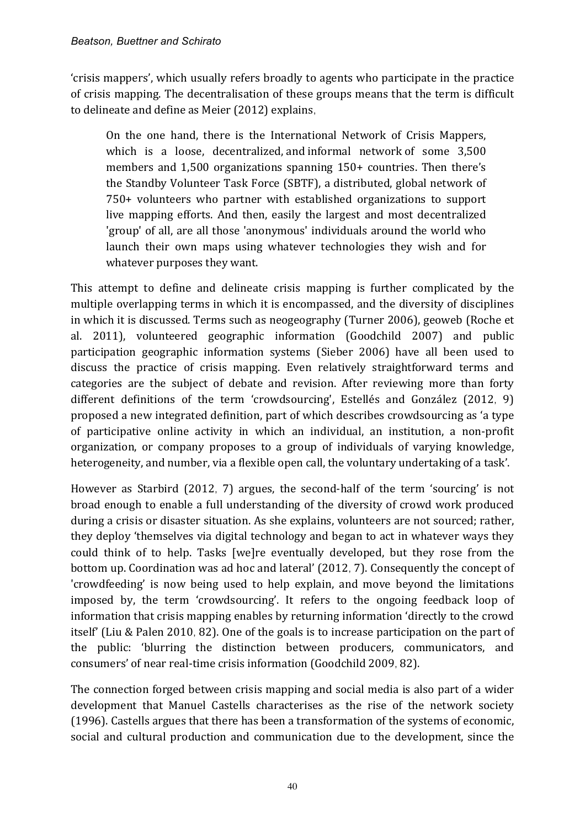'crisis mappers', which usually refers broadly to agents who participate in the practice of crisis mapping. The decentralisation of these groups means that the term is difficult to delineate and define as Meier (2012) explains,

On the one hand, there is the International Network of Crisis Mappers, which is a loose, decentralized, and informal network of some 3,500 members and  $1.500$  organizations spanning  $150+$  countries. Then there's the Standby Volunteer Task Force (SBTF), a distributed, global network of  $750+$  volunteers who partner with established organizations to support live mapping efforts. And then, easily the largest and most decentralized 'group' of all, are all those 'anonymous' individuals around the world who launch their own maps using whatever technologies they wish and for whatever purposes they want.

This attempt to define and delineate crisis mapping is further complicated by the multiple overlapping terms in which it is encompassed, and the diversity of disciplines in which it is discussed. Terms such as neogeography (Turner 2006), geoweb (Roche et al. 2011), volunteered geographic information (Goodchild 2007) and public participation geographic information systems (Sieber 2006) have all been used to discuss the practice of crisis mapping. Even relatively straightforward terms and categories are the subject of debate and revision. After reviewing more than forty different definitions of the term 'crowdsourcing', Estellés and González (2012, 9) proposed a new integrated definition, part of which describes crowdsourcing as 'a type of participative online activity in which an individual, an institution, a non-profit organization, or company proposes to a group of individuals of varying knowledge, heterogeneity, and number, via a flexible open call, the voluntary undertaking of a task'.

However as Starbird (2012, 7) argues, the second-half of the term 'sourcing' is not broad enough to enable a full understanding of the diversity of crowd work produced during a crisis or disaster situation. As she explains, volunteers are not sourced; rather, they deploy 'themselves via digital technology and began to act in whatever ways they could think of to help. Tasks [we]re eventually developed, but they rose from the bottom up. Coordination was ad hoc and lateral' (2012, 7). Consequently the concept of 'crowdfeeding' is now being used to help explain, and move beyond the limitations imposed by, the term 'crowdsourcing'. It refers to the ongoing feedback loop of information that crisis mapping enables by returning information 'directly to the crowd itself' (Liu & Palen 2010, 82). One of the goals is to increase participation on the part of the public: 'blurring the distinction between producers, communicators, and consumers' of near real-time crisis information (Goodchild 2009, 82).

The connection forged between crisis mapping and social media is also part of a wider development that Manuel Castells characterises as the rise of the network society (1996). Castells argues that there has been a transformation of the systems of economic, social and cultural production and communication due to the development, since the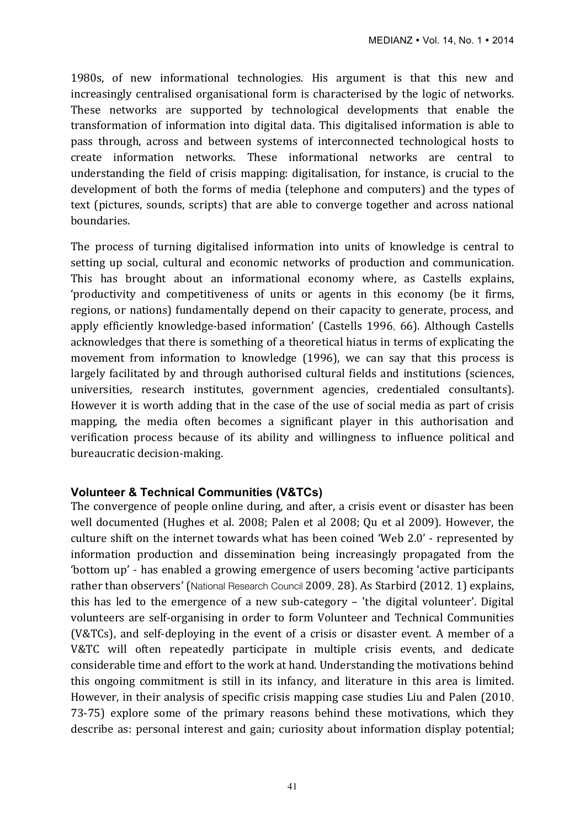1980s, of new informational technologies. His argument is that this new and increasingly centralised organisational form is characterised by the logic of networks. These networks are supported by technological developments that enable the transformation of information into digital data. This digitalised information is able to pass through, across and between systems of interconnected technological hosts to create information networks. These informational networks are central to understanding the field of crisis mapping: digitalisation, for instance, is crucial to the development of both the forms of media (telephone and computers) and the types of text (pictures, sounds, scripts) that are able to converge together and across national boundaries. 

The process of turning digitalised information into units of knowledge is central to setting up social, cultural and economic networks of production and communication. This has brought about an informational economy where, as Castells explains, 'productivity and competitiveness of units or agents in this economy (be it firms, regions, or nations) fundamentally depend on their capacity to generate, process, and apply efficiently knowledge-based information' (Castells 1996, 66). Although Castells acknowledges that there is something of a theoretical hiatus in terms of explicating the movement from information to knowledge (1996), we can say that this process is largely facilitated by and through authorised cultural fields and institutions (sciences, universities, research institutes, government agencies, credentialed consultants). However it is worth adding that in the case of the use of social media as part of crisis mapping, the media often becomes a significant player in this authorisation and verification process because of its ability and willingness to influence political and bureaucratic decision-making.

#### **Volunteer & Technical Communities (V&TCs)**

The convergence of people online during, and after, a crisis event or disaster has been well documented (Hughes et al. 2008; Palen et al 2008; Ou et al 2009). However, the culture shift on the internet towards what has been coined 'Web 2.0' - represented by information production and dissemination being increasingly propagated from the 'bottom up' - has enabled a growing emergence of users becoming 'active participants rather than observers' (National Research Council 2009, 28). As Starbird (2012, 1) explains, this has led to the emergence of a new sub-category  $-$  'the digital volunteer'. Digital volunteers are self-organising in order to form Volunteer and Technical Communities (V&TCs), and self-deploying in the event of a crisis or disaster event. A member of a V&TC will often repeatedly participate in multiple crisis events, and dedicate considerable time and effort to the work at hand. Understanding the motivations behind this ongoing commitment is still in its infancy, and literature in this area is limited. However, in their analysis of specific crisis mapping case studies Liu and Palen (2010, 73-75) explore some of the primary reasons behind these motivations, which they describe as: personal interest and gain; curiosity about information display potential;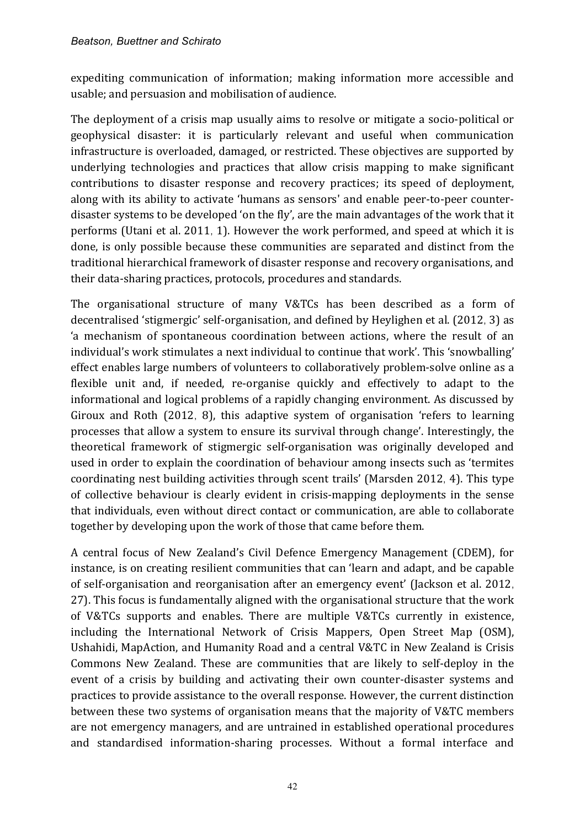expediting communication of information; making information more accessible and usable; and persuasion and mobilisation of audience.

The deployment of a crisis map usually aims to resolve or mitigate a socio-political or geophysical disaster: it is particularly relevant and useful when communication infrastructure is overloaded, damaged, or restricted. These objectives are supported by underlying technologies and practices that allow crisis mapping to make significant contributions to disaster response and recovery practices; its speed of deployment, along with its ability to activate 'humans as sensors' and enable peer-to-peer counterdisaster systems to be developed 'on the fly', are the main advantages of the work that it performs (Utani et al. 2011, 1). However the work performed, and speed at which it is done, is only possible because these communities are separated and distinct from the traditional hierarchical framework of disaster response and recovery organisations, and their data-sharing practices, protocols, procedures and standards.

The organisational structure of many V&TCs has been described as a form of decentralised 'stigmergic' self-organisation, and defined by Heylighen et al. (2012, 3) as 'a mechanism of spontaneous coordination between actions, where the result of an individual's work stimulates a next individual to continue that work'. This 'snowballing' effect enables large numbers of volunteers to collaboratively problem-solve online as a flexible unit and, if needed, re-organise quickly and effectively to adapt to the informational and logical problems of a rapidly changing environment. As discussed by Giroux and Roth (2012, 8), this adaptive system of organisation 'refers to learning processes that allow a system to ensure its survival through change'. Interestingly, the theoretical framework of stigmergic self-organisation was originally developed and used in order to explain the coordination of behaviour among insects such as 'termites coordinating nest building activities through scent trails' (Marsden 2012, 4). This type of collective behaviour is clearly evident in crisis-mapping deployments in the sense that individuals, even without direct contact or communication, are able to collaborate together by developing upon the work of those that came before them.

A central focus of New Zealand's Civil Defence Emergency Management (CDEM), for instance, is on creating resilient communities that can 'learn and adapt, and be capable of self-organisation and reorganisation after an emergency event' (Jackson et al. 2012, 27). This focus is fundamentally aligned with the organisational structure that the work of V&TCs supports and enables. There are multiple V&TCs currently in existence, including the International Network of Crisis Mappers, Open Street Map (OSM), Ushahidi, MapAction, and Humanity Road and a central V&TC in New Zealand is Crisis Commons New Zealand. These are communities that are likely to self-deploy in the event of a crisis by building and activating their own counter-disaster systems and practices to provide assistance to the overall response. However, the current distinction between these two systems of organisation means that the majority of V&TC members are not emergency managers, and are untrained in established operational procedures and standardised information-sharing processes. Without a formal interface and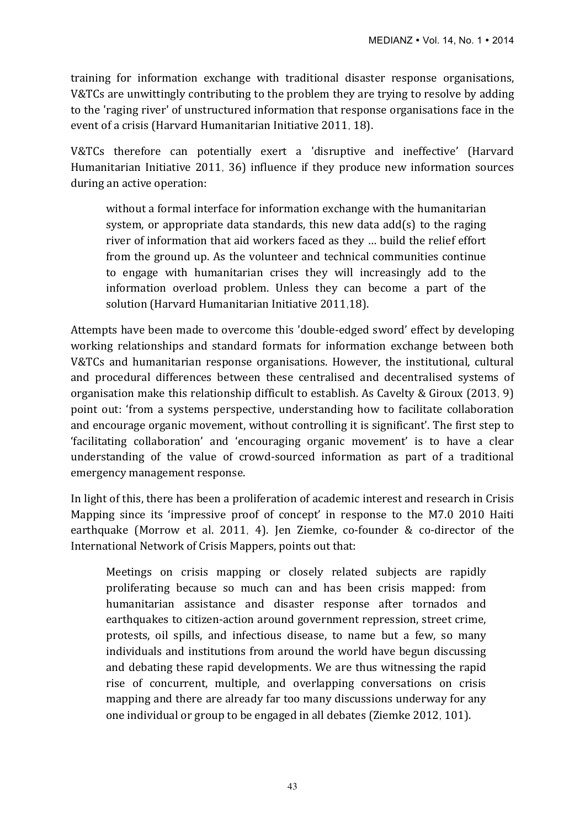training for information exchange with traditional disaster response organisations, V&TCs are unwittingly contributing to the problem they are trying to resolve by adding to the 'raging river' of unstructured information that response organisations face in the event of a crisis (Harvard Humanitarian Initiative 2011, 18).

V&TCs therefore can potentially exert a 'disruptive and ineffective' (Harvard Humanitarian Initiative 2011, 36) influence if they produce new information sources during an active operation:

without a formal interface for information exchange with the humanitarian system, or appropriate data standards, this new data  $add(s)$  to the raging river of information that aid workers faced as they ... build the relief effort from the ground up. As the volunteer and technical communities continue to engage with humanitarian crises they will increasingly add to the information overload problem. Unless they can become a part of the solution (Harvard Humanitarian Initiative 2011,18).

Attempts have been made to overcome this 'double-edged sword' effect by developing working relationships and standard formats for information exchange between both V&TCs and humanitarian response organisations. However, the institutional, cultural and procedural differences between these centralised and decentralised systems of organisation make this relationship difficult to establish. As Cavelty & Giroux (2013, 9) point out: 'from a systems perspective, understanding how to facilitate collaboration and encourage organic movement, without controlling it is significant'. The first step to 'facilitating collaboration' and 'encouraging organic movement' is to have a clear understanding of the value of crowd-sourced information as part of a traditional emergency management response.

In light of this, there has been a proliferation of academic interest and research in Crisis Mapping since its 'impressive proof of concept' in response to the M7.0 2010 Haiti earthquake (Morrow et al. 2011, 4). Jen Ziemke, co-founder  $\&$  co-director of the International Network of Crisis Mappers, points out that:

Meetings on crisis mapping or closely related subjects are rapidly proliferating because so much can and has been crisis mapped: from humanitarian assistance and disaster response after tornados and earthquakes to citizen-action around government repression, street crime, protests, oil spills, and infectious disease, to name but a few, so many individuals and institutions from around the world have begun discussing and debating these rapid developments. We are thus witnessing the rapid rise of concurrent, multiple, and overlapping conversations on crisis mapping and there are already far too many discussions underway for any one individual or group to be engaged in all debates (Ziemke 2012, 101).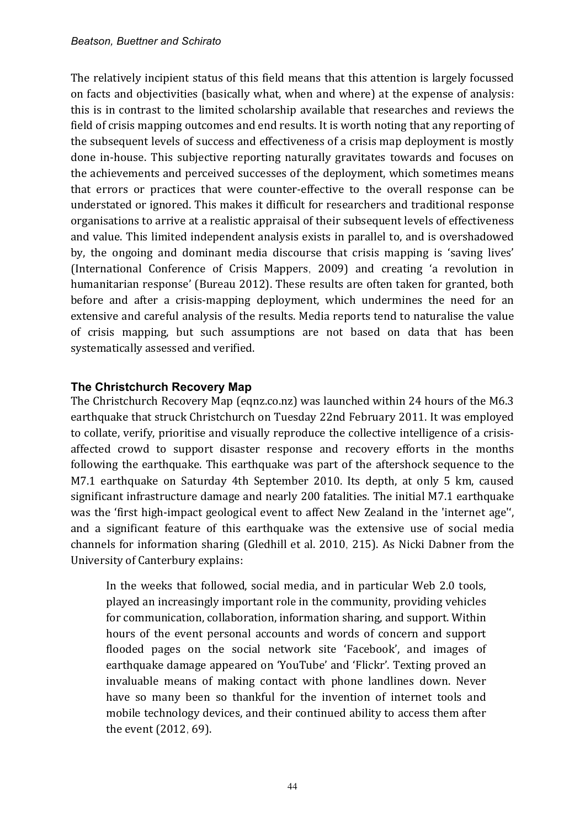The relatively incipient status of this field means that this attention is largely focussed on facts and objectivities (basically what, when and where) at the expense of analysis: this is in contrast to the limited scholarship available that researches and reviews the field of crisis mapping outcomes and end results. It is worth noting that any reporting of the subsequent levels of success and effectiveness of a crisis map deployment is mostly done in-house. This subjective reporting naturally gravitates towards and focuses on the achievements and perceived successes of the deployment, which sometimes means that errors or practices that were counter-effective to the overall response can be understated or ignored. This makes it difficult for researchers and traditional response organisations to arrive at a realistic appraisal of their subsequent levels of effectiveness and value. This limited independent analysis exists in parallel to, and is overshadowed by, the ongoing and dominant media discourse that crisis mapping is 'saving lives' (International Conference of Crisis Mappers, 2009) and creating 'a revolution in humanitarian response' (Bureau 2012). These results are often taken for granted, both before and after a crisis-mapping deployment, which undermines the need for an extensive and careful analysis of the results. Media reports tend to naturalise the value of crisis mapping, but such assumptions are not based on data that has been systematically assessed and verified.

### **The Christchurch Recovery Map**

The Christchurch Recovery Map (eqnz.co.nz) was launched within 24 hours of the M6.3 earthquake that struck Christchurch on Tuesday 22nd February 2011. It was employed to collate, verify, prioritise and visually reproduce the collective intelligence of a crisisaffected crowd to support disaster response and recovery efforts in the months following the earthquake. This earthquake was part of the aftershock sequence to the M7.1 earthquake on Saturday 4th September 2010. Its depth, at only 5 km, caused significant infrastructure damage and nearly 200 fatalities. The initial M7.1 earthquake was the 'first high-impact geological event to affect New Zealand in the 'internet age''. and a significant feature of this earthquake was the extensive use of social media channels for information sharing (Gledhill et al. 2010, 215). As Nicki Dabner from the University of Canterbury explains:

In the weeks that followed, social media, and in particular Web 2.0 tools, played an increasingly important role in the community, providing vehicles for communication, collaboration, information sharing, and support. Within hours of the event personal accounts and words of concern and support flooded pages on the social network site 'Facebook', and images of earthquake damage appeared on 'YouTube' and 'Flickr'. Texting proved an invaluable means of making contact with phone landlines down. Never have so many been so thankful for the invention of internet tools and mobile technology devices, and their continued ability to access them after the event  $(2012, 69)$ .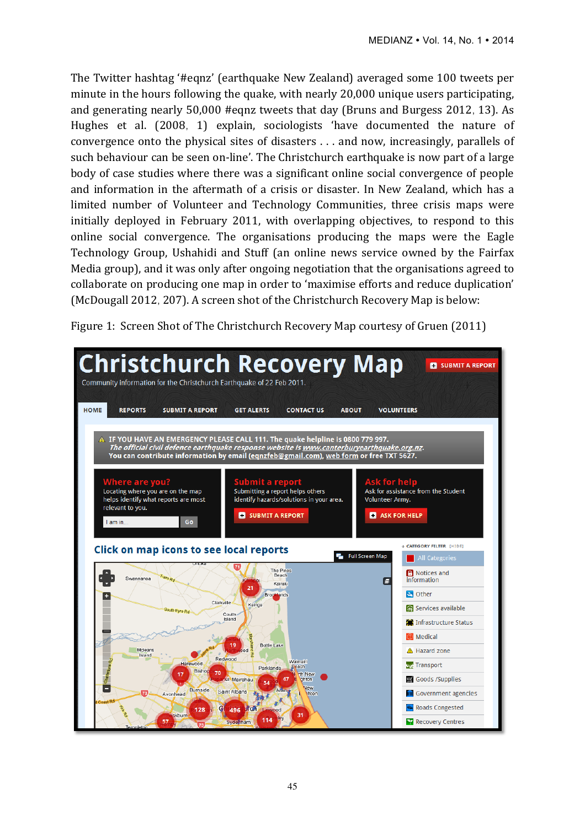The Twitter hashtag '#eqnz' (earthquake New Zealand) averaged some 100 tweets per minute in the hours following the quake, with nearly  $20,000$  unique users participating, and generating nearly 50,000 #eqnz tweets that day (Bruns and Burgess 2012, 13). As Hughes et al. (2008, 1) explain, sociologists 'have documented the nature of convergence onto the physical sites of disasters  $\dots$  and now, increasingly, parallels of such behaviour can be seen on-line'. The Christchurch earthquake is now part of a large body of case studies where there was a significant online social convergence of people and information in the aftermath of a crisis or disaster. In New Zealand, which has a limited number of Volunteer and Technology Communities, three crisis maps were initially deployed in February 2011, with overlapping objectives, to respond to this online social convergence. The organisations producing the maps were the Eagle Technology Group, Ushahidi and Stuff (an online news service owned by the Fairfax Media group), and it was only after ongoing negotiation that the organisations agreed to collaborate on producing one map in order to 'maximise efforts and reduce duplication' (McDougall 2012, 207). A screen shot of the Christchurch Recovery Map is below:

Figure 1: Screen Shot of The Christchurch Recovery Map courtesy of Gruen (2011)

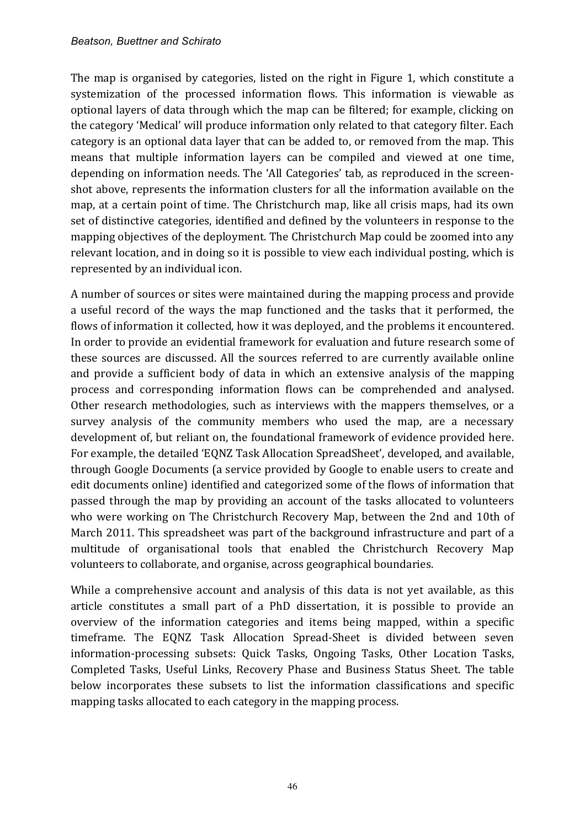The map is organised by categories, listed on the right in Figure 1, which constitute a systemization of the processed information flows. This information is viewable as optional layers of data through which the map can be filtered; for example, clicking on the category 'Medical' will produce information only related to that category filter. Each category is an optional data layer that can be added to, or removed from the map. This means that multiple information layers can be compiled and viewed at one time, depending on information needs. The 'All Categories' tab, as reproduced in the screenshot above, represents the information clusters for all the information available on the map, at a certain point of time. The Christchurch map, like all crisis maps, had its own set of distinctive categories, identified and defined by the volunteers in response to the mapping objectives of the deployment. The Christchurch Map could be zoomed into any relevant location, and in doing so it is possible to view each individual posting, which is represented by an individual icon.

A number of sources or sites were maintained during the mapping process and provide a useful record of the ways the map functioned and the tasks that it performed, the flows of information it collected, how it was deployed, and the problems it encountered. In order to provide an evidential framework for evaluation and future research some of these sources are discussed. All the sources referred to are currently available online and provide a sufficient body of data in which an extensive analysis of the mapping process and corresponding information flows can be comprehended and analysed. Other research methodologies, such as interviews with the mappers themselves, or a survey analysis of the community members who used the map, are a necessary development of, but reliant on, the foundational framework of evidence provided here. For example, the detailed 'EQNZ Task Allocation SpreadSheet', developed, and available, through Google Documents (a service provided by Google to enable users to create and edit documents online) identified and categorized some of the flows of information that passed through the map by providing an account of the tasks allocated to volunteers who were working on The Christchurch Recovery Map, between the 2nd and 10th of March 2011. This spreadsheet was part of the background infrastructure and part of a multitude of organisational tools that enabled the Christchurch Recovery Map volunteers to collaborate, and organise, across geographical boundaries.

While a comprehensive account and analysis of this data is not yet available, as this article constitutes a small part of a PhD dissertation, it is possible to provide an overview of the information categories and items being mapped, within a specific timeframe. The EQNZ Task Allocation Spread-Sheet is divided between seven information-processing subsets: Quick Tasks, Ongoing Tasks, Other Location Tasks, Completed Tasks, Useful Links, Recovery Phase and Business Status Sheet. The table below incorporates these subsets to list the information classifications and specific mapping tasks allocated to each category in the mapping process.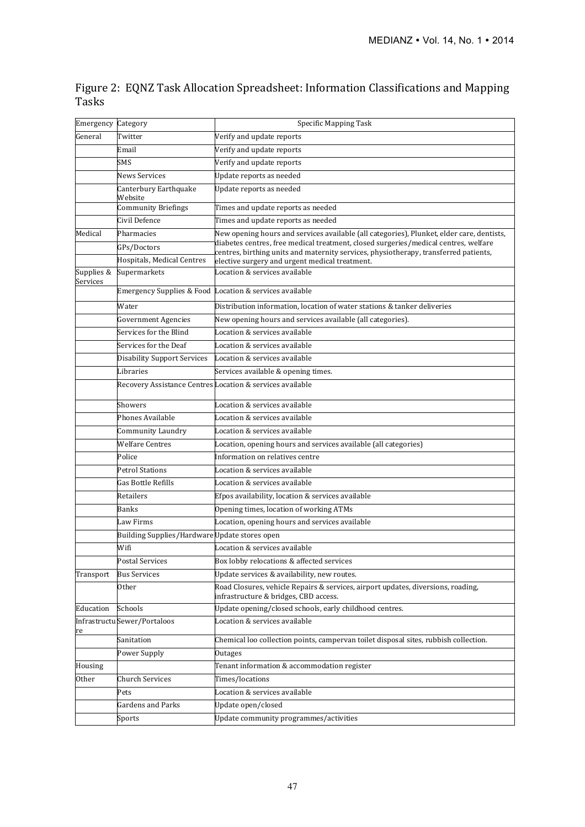| <b>Emergency Category</b> |                                               | Specific Mapping Task                                                                                                                                                       |
|---------------------------|-----------------------------------------------|-----------------------------------------------------------------------------------------------------------------------------------------------------------------------------|
| General                   | Twitter                                       | Verify and update reports                                                                                                                                                   |
|                           | Email                                         | Verify and update reports                                                                                                                                                   |
|                           | <b>SMS</b>                                    | Verify and update reports                                                                                                                                                   |
|                           | <b>News Services</b>                          | Update reports as needed                                                                                                                                                    |
|                           | Canterbury Earthquake<br>Website              | Update reports as needed                                                                                                                                                    |
|                           | <b>Community Briefings</b>                    | Times and update reports as needed                                                                                                                                          |
|                           | Civil Defence                                 | Times and update reports as needed                                                                                                                                          |
| Medical                   | Pharmacies                                    | New opening hours and services available (all categories), Plunket, elder care, dentists,                                                                                   |
|                           | GPs/Doctors                                   | diabetes centres, free medical treatment, closed surgeries/medical centres, welfare<br>centres, birthing units and maternity services, physiotherapy, transferred patients, |
|                           | Hospitals, Medical Centres                    | elective surgery and urgent medical treatment.                                                                                                                              |
| Supplies &<br>Services    | Supermarkets                                  | Location & services available                                                                                                                                               |
|                           |                                               | Emergency Supplies & Food Location & services available                                                                                                                     |
|                           | Water                                         | Distribution information, location of water stations & tanker deliveries                                                                                                    |
|                           | <b>Government Agencies</b>                    | New opening hours and services available (all categories).                                                                                                                  |
|                           | Services for the Blind                        | Location & services available                                                                                                                                               |
|                           | Services for the Deaf                         | Location & services available                                                                                                                                               |
|                           | <b>Disability Support Services</b>            | Location & services available                                                                                                                                               |
|                           | Libraries                                     | Services available & opening times.                                                                                                                                         |
|                           |                                               | Recovery Assistance Centres Location & services available                                                                                                                   |
|                           | Showers                                       | Location & services available                                                                                                                                               |
|                           | <b>Phones Available</b>                       | Location & services available                                                                                                                                               |
|                           | Community Laundry                             | Location & services available                                                                                                                                               |
|                           | <b>Welfare Centres</b>                        | Location, opening hours and services available (all categories)                                                                                                             |
|                           | Police                                        | Information on relatives centre                                                                                                                                             |
|                           | <b>Petrol Stations</b>                        | Location & services available                                                                                                                                               |
|                           | Gas Bottle Refills                            | Location & services available                                                                                                                                               |
|                           | Retailers                                     | Efpos availability, location & services available                                                                                                                           |
|                           | Banks                                         | Opening times, location of working ATMs                                                                                                                                     |
|                           | Law Firms                                     | Location, opening hours and services available                                                                                                                              |
|                           | Building Supplies/Hardware Update stores open |                                                                                                                                                                             |
|                           | Wifi                                          | Location & services available                                                                                                                                               |
|                           | Postal Services                               | Box lobby relocations & affected services                                                                                                                                   |
| Transport                 | Bus Services                                  | Update services & availability, new routes.                                                                                                                                 |
|                           | Other                                         | Road Closures, vehicle Repairs & services, airport updates, diversions, roading,<br>infrastructure & bridges, CBD access.                                                   |
| Education                 | Schools                                       | Update opening/closed schools, early childhood centres.                                                                                                                     |
| re                        | Infrastructu Sewer/Portaloos                  | Location & services available                                                                                                                                               |
|                           | Sanitation                                    | Chemical loo collection points, campervan toilet disposal sites, rubbish collection.                                                                                        |
|                           | Power Supply                                  | Outages                                                                                                                                                                     |
| Housing                   |                                               | Tenant information & accommodation register                                                                                                                                 |
| Other                     | <b>Church Services</b>                        | Times/locations                                                                                                                                                             |
|                           | Pets                                          | Location & services available                                                                                                                                               |
|                           | Gardens and Parks                             | Update open/closed                                                                                                                                                          |
|                           | Sports                                        | Update community programmes/activities                                                                                                                                      |

Figure 2: EQNZ Task Allocation Spreadsheet: Information Classifications and Mapping Tasks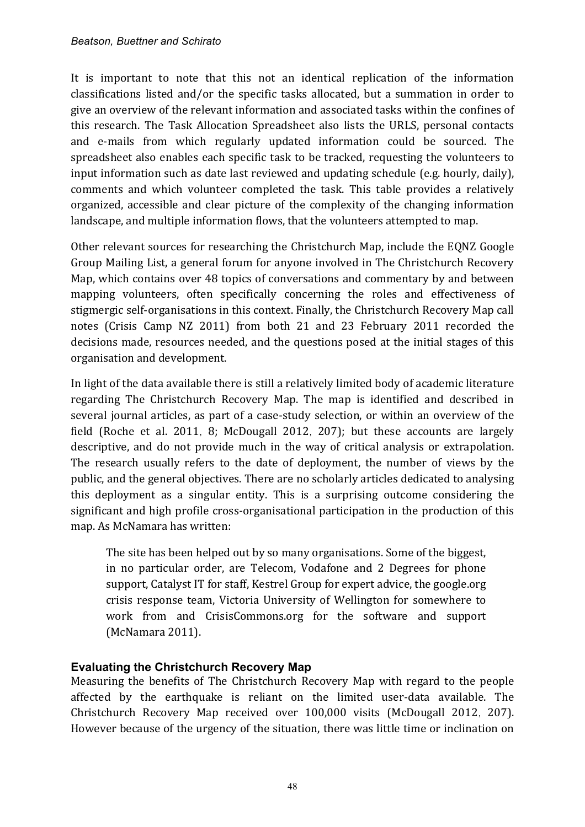It is important to note that this not an identical replication of the information classifications listed and/or the specific tasks allocated, but a summation in order to give an overview of the relevant information and associated tasks within the confines of this research. The Task Allocation Spreadsheet also lists the URLS, personal contacts and e-mails from which regularly updated information could be sourced. The spreadsheet also enables each specific task to be tracked, requesting the volunteers to input information such as date last reviewed and updating schedule (e.g. hourly, daily), comments and which volunteer completed the task. This table provides a relatively organized, accessible and clear picture of the complexity of the changing information landscape, and multiple information flows, that the volunteers attempted to map.

Other relevant sources for researching the Christchurch Map, include the EONZ Google Group Mailing List, a general forum for anyone involved in The Christchurch Recovery Map, which contains over 48 topics of conversations and commentary by and between mapping volunteers, often specifically concerning the roles and effectiveness of stigmergic self-organisations in this context. Finally, the Christchurch Recovery Map call notes (Crisis Camp NZ 2011) from both 21 and 23 February 2011 recorded the decisions made, resources needed, and the questions posed at the initial stages of this organisation and development.

In light of the data available there is still a relatively limited body of academic literature regarding The Christchurch Recovery Map. The map is identified and described in several journal articles, as part of a case-study selection, or within an overview of the field (Roche et al. 2011, 8; McDougall 2012, 207); but these accounts are largely descriptive, and do not provide much in the way of critical analysis or extrapolation. The research usually refers to the date of deployment, the number of views by the public, and the general objectives. There are no scholarly articles dedicated to analysing this deployment as a singular entity. This is a surprising outcome considering the significant and high profile cross-organisational participation in the production of this map. As McNamara has written:

The site has been helped out by so many organisations. Some of the biggest, in no particular order, are Telecom, Vodafone and 2 Degrees for phone support, Catalyst IT for staff, Kestrel Group for expert advice, the google.org crisis response team, Victoria University of Wellington for somewhere to work from and CrisisCommons.org for the software and support (McNamara 2011).

### **Evaluating the Christchurch Recovery Map**

Measuring the benefits of The Christchurch Recovery Map with regard to the people affected by the earthquake is reliant on the limited user-data available. The Christchurch Recovery Map received over 100,000 visits (McDougall 2012, 207). However because of the urgency of the situation, there was little time or inclination on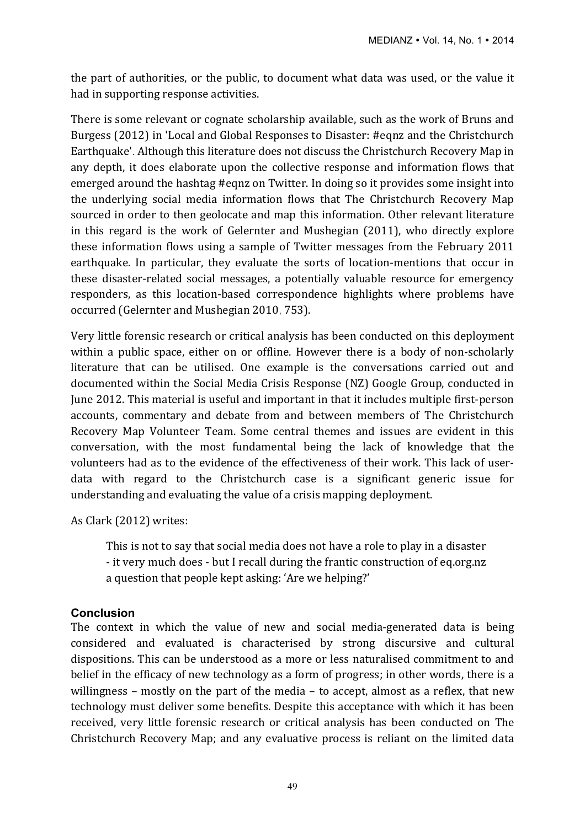the part of authorities, or the public, to document what data was used, or the value it had in supporting response activities.

There is some relevant or cognate scholarship available, such as the work of Bruns and Burgess (2012) in 'Local and Global Responses to Disaster: #eqnz and the Christchurch Earthquake'. Although this literature does not discuss the Christchurch Recovery Map in any depth, it does elaborate upon the collective response and information flows that emerged around the hashtag #eqnz on Twitter. In doing so it provides some insight into the underlying social media information flows that The Christchurch Recovery Map sourced in order to then geolocate and map this information. Other relevant literature in this regard is the work of Gelernter and Mushegian (2011), who directly explore these information flows using a sample of Twitter messages from the February 2011 earthquake. In particular, they evaluate the sorts of location-mentions that occur in these disaster-related social messages, a potentially valuable resource for emergency responders, as this location-based correspondence highlights where problems have occurred (Gelernter and Mushegian 2010, 753).

Very little forensic research or critical analysis has been conducted on this deployment within a public space, either on or offline. However there is a body of non-scholarly literature that can be utilised. One example is the conversations carried out and documented within the Social Media Crisis Response (NZ) Google Group, conducted in June 2012. This material is useful and important in that it includes multiple first-person accounts, commentary and debate from and between members of The Christchurch Recovery Map Volunteer Team. Some central themes and issues are evident in this conversation, with the most fundamental being the lack of knowledge that the volunteers had as to the evidence of the effectiveness of their work. This lack of userdata with regard to the Christchurch case is a significant generic issue for understanding and evaluating the value of a crisis mapping deployment.

As Clark (2012) writes:

This is not to say that social media does not have a role to play in a disaster - it very much does - but I recall during the frantic construction of eq.org.nz a question that people kept asking: 'Are we helping?'

### **Conclusion**

The context in which the value of new and social media-generated data is being considered and evaluated is characterised by strong discursive and cultural dispositions. This can be understood as a more or less naturalised commitment to and belief in the efficacy of new technology as a form of progress; in other words, there is a willingness – mostly on the part of the media – to accept, almost as a reflex, that new technology must deliver some benefits. Despite this acceptance with which it has been received, very little forensic research or critical analysis has been conducted on The Christchurch Recovery Map; and any evaluative process is reliant on the limited data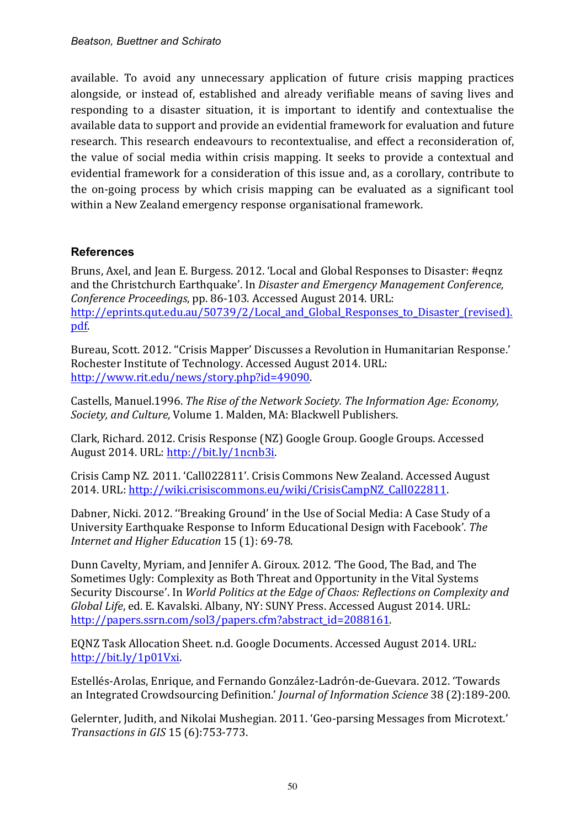available. To avoid any unnecessary application of future crisis mapping practices alongside, or instead of, established and already verifiable means of saving lives and responding to a disaster situation, it is important to identify and contextualise the available data to support and provide an evidential framework for evaluation and future research. This research endeavours to recontextualise, and effect a reconsideration of, the value of social media within crisis mapping. It seeks to provide a contextual and evidential framework for a consideration of this issue and, as a corollary, contribute to the on-going process by which crisis mapping can be evaluated as a significant tool within a New Zealand emergency response organisational framework.

## **References**

Bruns, Axel, and Jean E. Burgess. 2012. 'Local and Global Responses to Disaster: #eqnz and the Christchurch Earthquake'. In *Disaster and Emergency Management Conference*, *Conference Proceedings*, pp. 86-103. Accessed August 2014. URL: http://eprints.qut.edu.au/50739/2/Local\_and\_Global\_Responses\_to\_Disaster\_(revised). pdf. 

Bureau, Scott. 2012. "Crisis Mapper' Discusses a Revolution in Humanitarian Response.' Rochester Institute of Technology. Accessed August 2014. URL: http://www.rit.edu/news/story.php?id=49090. 

Castells, Manuel.1996. *The Rise of the Network Society. The Information Age: Economy*, *Society, and Culture, Volume 1. Malden, MA: Blackwell Publishers.* 

Clark, Richard. 2012. Crisis Response (NZ) Google Group. Google Groups. Accessed August 2014. URL: http://bit.ly/1ncnb3i.

Crisis Camp NZ. 2011. 'Call022811'. Crisis Commons New Zealand. Accessed August 2014. URL: http://wiki.crisiscommons.eu/wiki/CrisisCampNZ\_Call022811.

Dabner, Nicki. 2012. "Breaking Ground' in the Use of Social Media: A Case Study of a University Earthquake Response to Inform Educational Design with Facebook'. The *Internet and Higher Education* 15 (1): 69-78.

Dunn Cavelty, Myriam, and Jennifer A. Giroux. 2012. 'The Good, The Bad, and The Sometimes Ugly: Complexity as Both Threat and Opportunity in the Vital Systems Security Discourse'. In *World Politics at the Edge of Chaos: Reflections on Complexity and Global Life*, ed. E. Kavalski. Albany, NY: SUNY Press. Accessed August 2014. URL: http://papers.ssrn.com/sol3/papers.cfm?abstract\_id=2088161.

EQNZ Task Allocation Sheet. n.d. Google Documents. Accessed August 2014. URL: http://bit.ly/1p01Vxi. 

Estellés-Arolas, Enrique, and Fernando González-Ladrón-de-Guevara. 2012. 'Towards an Integrated Crowdsourcing Definition.' *Journal of Information Science* 38 (2):189-200.

Gelernter, Judith, and Nikolai Mushegian. 2011. 'Geo-parsing Messages from Microtext.' *Transactions in GIS* 15 (6):753-773.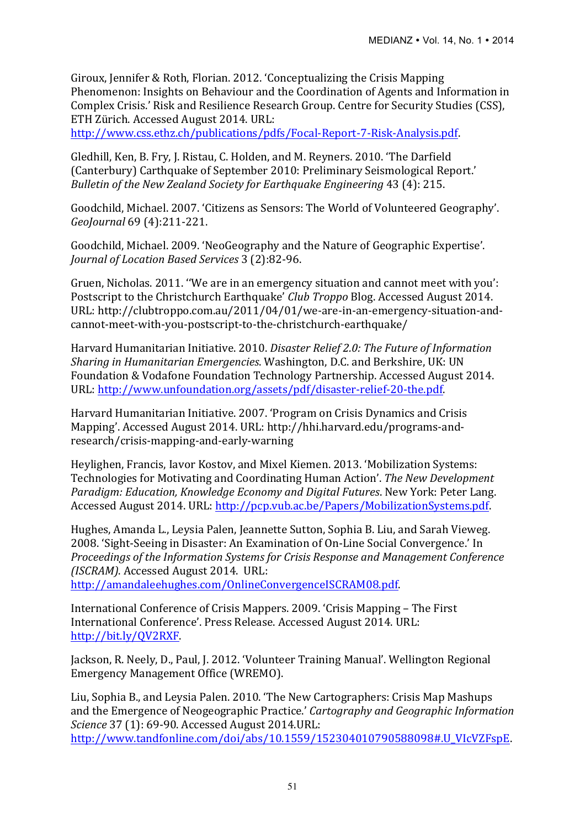Giroux, Jennifer & Roth, Florian. 2012. 'Conceptualizing the Crisis Mapping Phenomenon: Insights on Behaviour and the Coordination of Agents and Information in Complex Crisis.' Risk and Resilience Research Group. Centre for Security Studies (CSS), ETH Zürich. Accessed August 2014. URL:

http://www.css.ethz.ch/publications/pdfs/Focal-Report-7-Risk-Analysis.pdf. 

Gledhill, Ken, B. Fry, J. Ristau, C. Holden, and M. Reyners. 2010. 'The Darfield (Canterbury) Carthquake of September 2010: Preliminary Seismological Report.' *Bulletin of the New Zealand Society for Earthquake Engineering* 43 (4): 215.

Goodchild, Michael. 2007. 'Citizens as Sensors: The World of Volunteered Geography'. *GeoJournal* 69 (4):211-221. 

Goodchild, Michael. 2009. 'NeoGeography and the Nature of Geographic Expertise'. *Journal of Location Based Services* 3 (2):82-96.

Gruen, Nicholas. 2011. "We are in an emergency situation and cannot meet with you': Postscript to the Christchurch Earthquake' *Club Troppo* Blog. Accessed August 2014. URL: http://clubtroppo.com.au/2011/04/01/we-are-in-an-emergency-situation-andcannot-meet-with-you-postscript-to-the-christchurch-earthquake/

Harvard Humanitarian Initiative. 2010. *Disaster Relief 2.0: The Future of Information Sharing in Humanitarian Emergencies*. Washington, D.C. and Berkshire, UK: UN Foundation & Vodafone Foundation Technology Partnership. Accessed August 2014. URL: http://www.unfoundation.org/assets/pdf/disaster-relief-20-the.pdf.

Harvard Humanitarian Initiative. 2007. 'Program on Crisis Dynamics and Crisis Mapping'. Accessed August 2014. URL: http://hhi.harvard.edu/programs-andresearch/crisis-mapping-and-early-warning

Heylighen, Francis, Iavor Kostov, and Mixel Kiemen. 2013. 'Mobilization Systems: Technologies for Motivating and Coordinating Human Action'. *The New Development Paradigm: Education, Knowledge Economy and Digital Futures.* New York: Peter Lang. Accessed August 2014. URL: http://pcp.vub.ac.be/Papers/MobilizationSystems.pdf.

Hughes, Amanda L., Leysia Palen, Jeannette Sutton, Sophia B. Liu, and Sarah Vieweg. 2008. 'Sight-Seeing in Disaster: An Examination of On-Line Social Convergence.' In *Proceedings of the Information Systems for Crisis Response and Management Conference (ISCRAM)*. Accessed August 2014. URL:

http://amandaleehughes.com/OnlineConvergenceISCRAM08.pdf. 

International Conference of Crisis Mappers. 2009. 'Crisis Mapping – The First International Conference'. Press Release. Accessed August 2014. URL: http://bit.ly/QV2RXF. 

Jackson, R. Neely, D., Paul, J. 2012. 'Volunteer Training Manual'. Wellington Regional Emergency Management Office (WREMO).

Liu, Sophia B., and Leysia Palen. 2010. 'The New Cartographers: Crisis Map Mashups and the Emergence of Neogeographic Practice.' *Cartography and Geographic Information Science* 37 (1): 69-90. Accessed August 2014.URL: http://www.tandfonline.com/doi/abs/10.1559/152304010790588098#.U\_VIcVZFspE.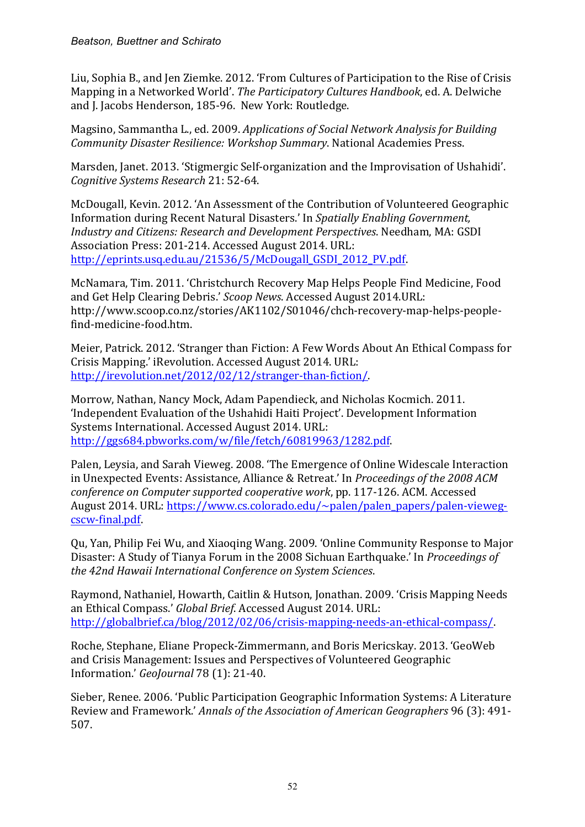#### *Beatson, Buettner and Schirato*

Liu, Sophia B., and Jen Ziemke. 2012. 'From Cultures of Participation to the Rise of Crisis Mapping in a Networked World'. *The Participatory Cultures Handbook*, ed. A. Delwiche and J. Jacobs Henderson, 185-96. New York: Routledge.

Magsino, Sammantha L., ed. 2009. *Applications of Social Network Analysis for Building Community Disaster Resilience: Workshop Summary*. National Academies Press.

Marsden, Janet. 2013. 'Stigmergic Self-organization and the Improvisation of Ushahidi'. *Cognitive Systems Research* 21: 52-64.

McDougall, Kevin. 2012. 'An Assessment of the Contribution of Volunteered Geographic Information during Recent Natural Disasters.' In *Spatially Enabling Government*, *Industry and Citizens: Research and Development Perspectives*. Needham, MA: GSDI Association Press: 201-214. Accessed August 2014. URL: http://eprints.usq.edu.au/21536/5/McDougall\_GSDI\_2012\_PV.pdf. 

McNamara, Tim. 2011. 'Christchurch Recovery Map Helps People Find Medicine, Food and Get Help Clearing Debris.' *Scoop News*. Accessed August 2014.URL: http://www.scoop.co.nz/stories/AK1102/S01046/chch-recovery-map-helps-peoplefind-medicine-food.htm.

Meier, Patrick. 2012. 'Stranger than Fiction: A Few Words About An Ethical Compass for Crisis Mapping.' iRevolution. Accessed August 2014. URL: http://irevolution.net/2012/02/12/stranger-than-fiction/. 

Morrow, Nathan, Nancy Mock, Adam Papendieck, and Nicholas Kocmich. 2011. 'Independent Evaluation of the Ushahidi Haiti Project'. Development Information Systems International. Accessed August 2014. URL: http://ggs684.pbworks.com/w/file/fetch/60819963/1282.pdf. 

Palen, Leysia, and Sarah Vieweg. 2008. 'The Emergence of Online Widescale Interaction in Unexpected Events: Assistance, Alliance & Retreat.' In *Proceedings of the 2008 ACM conference on Computer supported cooperative work*, pp. 117-126. ACM. Accessed August 2014. URL: https://www.cs.colorado.edu/~palen/palen\_papers/palen-viewegcscw-final.pdf. 

Ou, Yan, Philip Fei Wu, and Xiaoqing Wang. 2009. 'Online Community Response to Major Disaster: A Study of Tianya Forum in the 2008 Sichuan Earthquake.' In *Proceedings of the 42nd Hawaii International Conference on System Sciences*. 

Raymond, Nathaniel, Howarth, Caitlin & Hutson, Jonathan. 2009. 'Crisis Mapping Needs an Ethical Compass.' *Global Brief*. Accessed August 2014. URL: http://globalbrief.ca/blog/2012/02/06/crisis-mapping-needs-an-ethical-compass/. 

Roche, Stephane, Eliane Propeck-Zimmermann, and Boris Mericskay. 2013. 'GeoWeb and Crisis Management: Issues and Perspectives of Volunteered Geographic Information.' Geo*lournal* 78 (1): 21-40.

Sieber, Renee. 2006. 'Public Participation Geographic Information Systems: A Literature Review and Framework.' *Annals of the Association of American Geographers* 96 (3): 491-507.